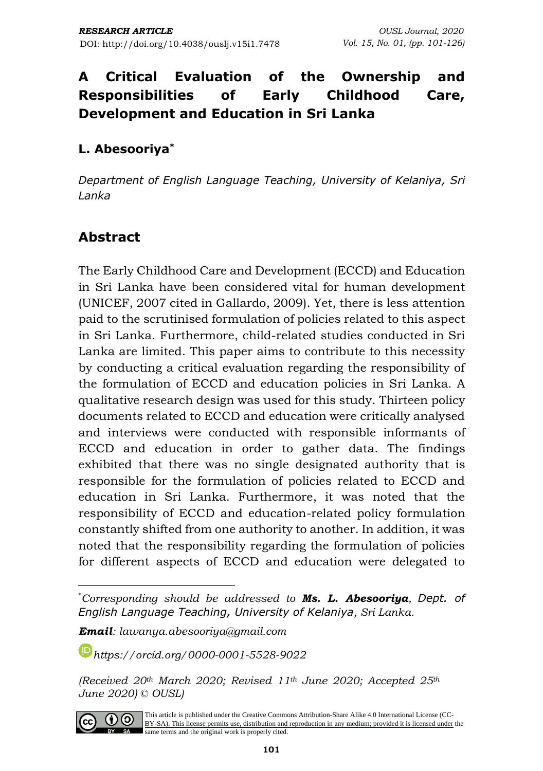## **L. Abesooriya\***

*Department of English Language Teaching, University of Kelaniya, Sri Lanka*

## **Abstract**

The Early Childhood Care and Development (ECCD) and Education in Sri Lanka have been considered vital for human development (UNICEF, 2007 cited in Gallardo, 2009). Yet, there is less attention paid to the scrutinised formulation of policies related to this aspect in Sri Lanka. Furthermore, child-related studies conducted in Sri Lanka are limited. This paper aims to contribute to this necessity by conducting a critical evaluation regarding the responsibility of the formulation of ECCD and education policies in Sri Lanka. A qualitative research design was used for this study. Thirteen policy documents related to ECCD and education were critically analysed and interviews were conducted with responsible informants of ECCD and education in order to gather data. The findings exhibited that there was no single designated authority that is responsible for the formulation of policies related to ECCD and education in Sri Lanka. Furthermore, it was noted that the responsibility of ECCD and education-related policy formulation constantly shifted from one authority to another. In addition, it was noted that the responsibility regarding the formulation of policies for different aspects of ECCD and education were delegated to

*Email: lawanya.abesooriya@gmail.com*

*[https://orcid.org/0](https://orcid.org/)000-0001-5528-9022*

*<sup>(</sup>Received 20th March 2020; Revised 11th June 2020; Accepted 25th June 2020) © OUSL)* 



<sup>\*</sup>*Corresponding should be addressed to Ms. L. Abesooriya, Dept. of English Language Teaching, University of Kelaniya, Sri Lanka.*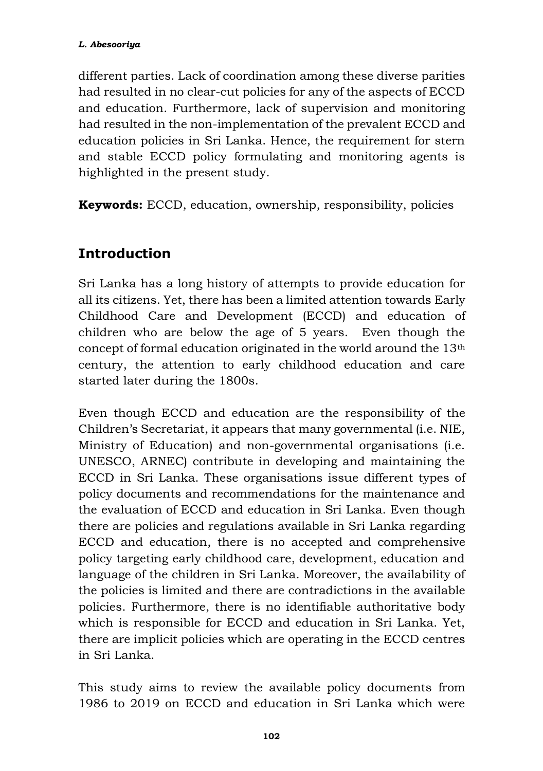different parties. Lack of coordination among these diverse parities had resulted in no clear-cut policies for any of the aspects of ECCD and education. Furthermore, lack of supervision and monitoring had resulted in the non-implementation of the prevalent ECCD and education policies in Sri Lanka. Hence, the requirement for stern and stable ECCD policy formulating and monitoring agents is highlighted in the present study.

**Keywords:** ECCD, education, ownership, responsibility, policies

# **Introduction**

Sri Lanka has a long history of attempts to provide education for all its citizens. Yet, there has been a limited attention towards Early Childhood Care and Development (ECCD) and education of children who are below the age of 5 years. Even though the concept of formal education originated in the world around the 13th century, the attention to early childhood education and care started later during the 1800s.

Even though ECCD and education are the responsibility of the Children's Secretariat, it appears that many governmental (i.e. NIE, Ministry of Education) and non-governmental organisations (i.e. UNESCO, ARNEC) contribute in developing and maintaining the ECCD in Sri Lanka. These organisations issue different types of policy documents and recommendations for the maintenance and the evaluation of ECCD and education in Sri Lanka. Even though there are policies and regulations available in Sri Lanka regarding ECCD and education, there is no accepted and comprehensive policy targeting early childhood care, development, education and language of the children in Sri Lanka. Moreover, the availability of the policies is limited and there are contradictions in the available policies. Furthermore, there is no identifiable authoritative body which is responsible for ECCD and education in Sri Lanka. Yet, there are implicit policies which are operating in the ECCD centres in Sri Lanka.

This study aims to review the available policy documents from 1986 to 2019 on ECCD and education in Sri Lanka which were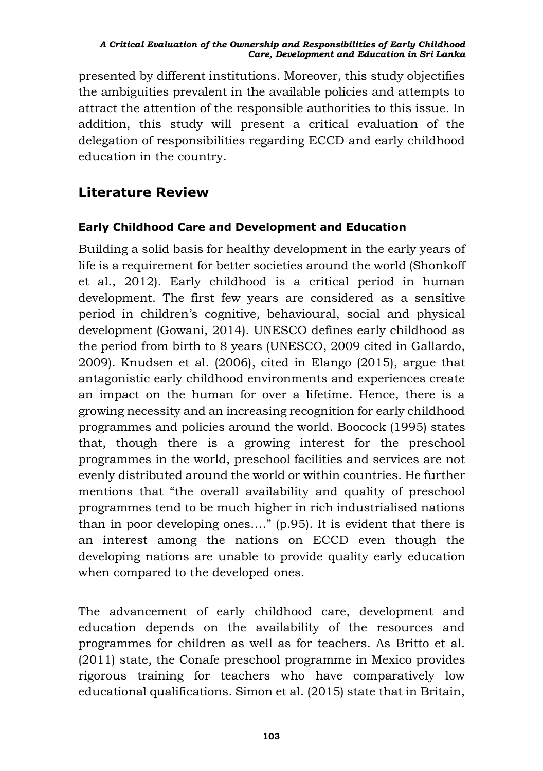presented by different institutions. Moreover, this study objectifies the ambiguities prevalent in the available policies and attempts to attract the attention of the responsible authorities to this issue. In addition, this study will present a critical evaluation of the delegation of responsibilities regarding ECCD and early childhood education in the country.

## **Literature Review**

### **Early Childhood Care and Development and Education**

Building a solid basis for healthy development in the early years of life is a requirement for better societies around the world (Shonkoff et al., 2012). Early childhood is a critical period in human development. The first few years are considered as a sensitive period in children's cognitive, behavioural, social and physical development (Gowani, 2014). UNESCO defines early childhood as the period from birth to 8 years (UNESCO, 2009 cited in Gallardo, 2009). Knudsen et al. (2006), cited in Elango (2015), argue that antagonistic early childhood environments and experiences create an impact on the human for over a lifetime. Hence, there is a growing necessity and an increasing recognition for early childhood programmes and policies around the world. Boocock (1995) states that, though there is a growing interest for the preschool programmes in the world, preschool facilities and services are not evenly distributed around the world or within countries. He further mentions that "the overall availability and quality of preschool programmes tend to be much higher in rich industrialised nations than in poor developing ones…." (p.95). It is evident that there is an interest among the nations on ECCD even though the developing nations are unable to provide quality early education when compared to the developed ones.

The advancement of early childhood care, development and education depends on the availability of the resources and programmes for children as well as for teachers. As Britto et al. (2011) state, the Conafe preschool programme in Mexico provides rigorous training for teachers who have comparatively low educational qualifications. Simon et al. (2015) state that in Britain,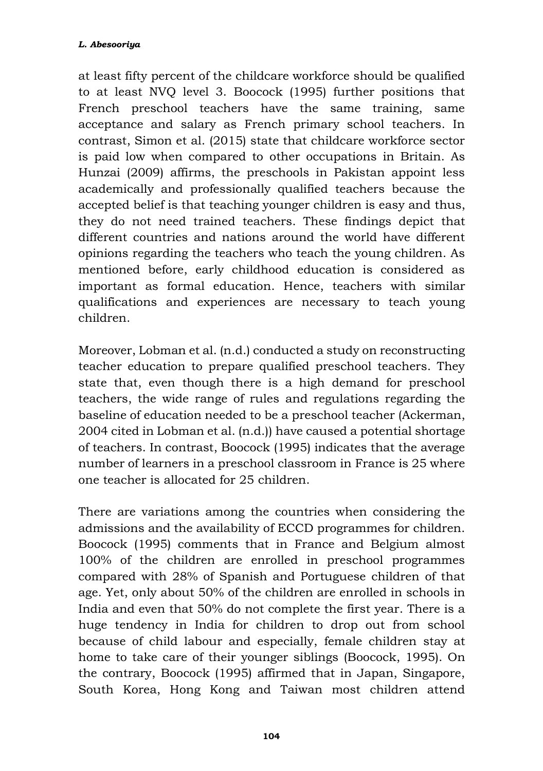at least fifty percent of the childcare workforce should be qualified to at least NVQ level 3. Boocock (1995) further positions that French preschool teachers have the same training, same acceptance and salary as French primary school teachers. In contrast, Simon et al. (2015) state that childcare workforce sector is paid low when compared to other occupations in Britain. As Hunzai (2009) affirms, the preschools in Pakistan appoint less academically and professionally qualified teachers because the accepted belief is that teaching younger children is easy and thus, they do not need trained teachers. These findings depict that different countries and nations around the world have different opinions regarding the teachers who teach the young children. As mentioned before, early childhood education is considered as important as formal education. Hence, teachers with similar qualifications and experiences are necessary to teach young children.

Moreover, Lobman et al. (n.d.) conducted a study on reconstructing teacher education to prepare qualified preschool teachers. They state that, even though there is a high demand for preschool teachers, the wide range of rules and regulations regarding the baseline of education needed to be a preschool teacher (Ackerman, 2004 cited in Lobman et al. (n.d.)) have caused a potential shortage of teachers. In contrast, Boocock (1995) indicates that the average number of learners in a preschool classroom in France is 25 where one teacher is allocated for 25 children.

There are variations among the countries when considering the admissions and the availability of ECCD programmes for children. Boocock (1995) comments that in France and Belgium almost 100% of the children are enrolled in preschool programmes compared with 28% of Spanish and Portuguese children of that age. Yet, only about 50% of the children are enrolled in schools in India and even that 50% do not complete the first year. There is a huge tendency in India for children to drop out from school because of child labour and especially, female children stay at home to take care of their younger siblings (Boocock, 1995). On the contrary, Boocock (1995) affirmed that in Japan, Singapore, South Korea, Hong Kong and Taiwan most children attend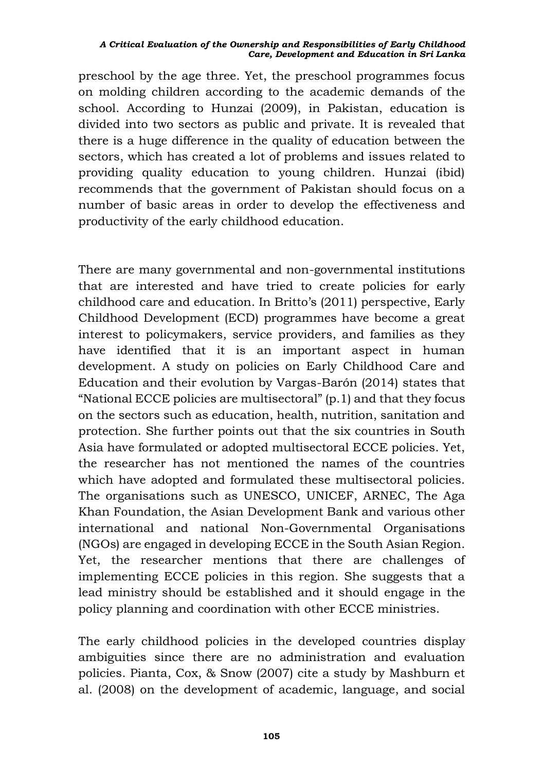preschool by the age three. Yet, the preschool programmes focus on molding children according to the academic demands of the school. According to Hunzai (2009), in Pakistan, education is divided into two sectors as public and private. It is revealed that there is a huge difference in the quality of education between the sectors, which has created a lot of problems and issues related to providing quality education to young children. Hunzai (ibid) recommends that the government of Pakistan should focus on a number of basic areas in order to develop the effectiveness and productivity of the early childhood education.

There are many governmental and non-governmental institutions that are interested and have tried to create policies for early childhood care and education. In Britto's (2011) perspective, Early Childhood Development (ECD) programmes have become a great interest to policymakers, service providers, and families as they have identified that it is an important aspect in human development. A study on policies on Early Childhood Care and Education and their evolution by Vargas-Barón (2014) states that "National ECCE policies are multisectoral" (p.1) and that they focus on the sectors such as education, health, nutrition, sanitation and protection. She further points out that the six countries in South Asia have formulated or adopted multisectoral ECCE policies. Yet, the researcher has not mentioned the names of the countries which have adopted and formulated these multisectoral policies. The organisations such as UNESCO, UNICEF, ARNEC, The Aga Khan Foundation, the Asian Development Bank and various other international and national Non-Governmental Organisations (NGOs) are engaged in developing ECCE in the South Asian Region. Yet, the researcher mentions that there are challenges of implementing ECCE policies in this region. She suggests that a lead ministry should be established and it should engage in the policy planning and coordination with other ECCE ministries.

The early childhood policies in the developed countries display ambiguities since there are no administration and evaluation policies. Pianta, Cox, & Snow (2007) cite a study by Mashburn et al. (2008) on the development of academic, language, and social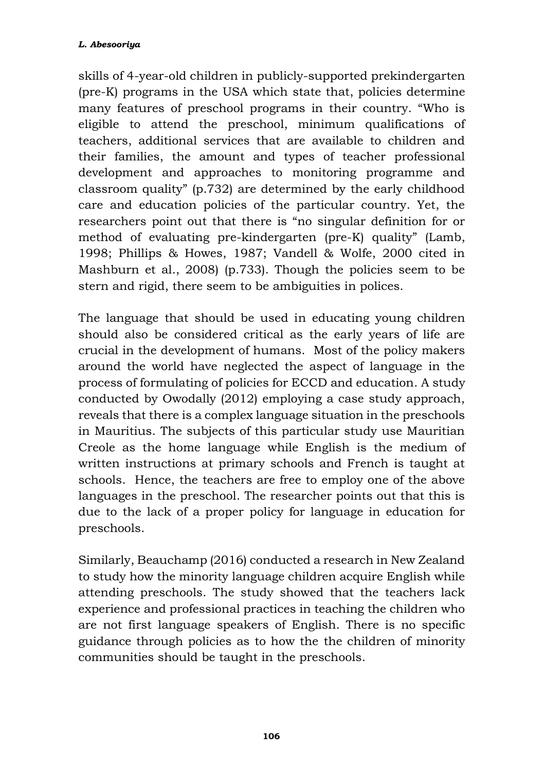skills of 4-year-old children in publicly-supported prekindergarten (pre-K) programs in the USA which state that, policies determine many features of preschool programs in their country. "Who is eligible to attend the preschool, minimum qualifications of teachers, additional services that are available to children and their families, the amount and types of teacher professional development and approaches to monitoring programme and classroom quality" (p.732) are determined by the early childhood care and education policies of the particular country. Yet, the researchers point out that there is "no singular definition for or method of evaluating pre-kindergarten (pre-K) quality" (Lamb, 1998; Phillips & Howes, 1987; Vandell & Wolfe, 2000 cited in Mashburn et al., 2008) (p.733). Though the policies seem to be stern and rigid, there seem to be ambiguities in polices.

The language that should be used in educating young children should also be considered critical as the early years of life are crucial in the development of humans. Most of the policy makers around the world have neglected the aspect of language in the process of formulating of policies for ECCD and education. A study conducted by Owodally (2012) employing a case study approach, reveals that there is a complex language situation in the preschools in Mauritius. The subjects of this particular study use Mauritian Creole as the home language while English is the medium of written instructions at primary schools and French is taught at schools. Hence, the teachers are free to employ one of the above languages in the preschool. The researcher points out that this is due to the lack of a proper policy for language in education for preschools.

Similarly, Beauchamp (2016) conducted a research in New Zealand to study how the minority language children acquire English while attending preschools. The study showed that the teachers lack experience and professional practices in teaching the children who are not first language speakers of English. There is no specific guidance through policies as to how the the children of minority communities should be taught in the preschools.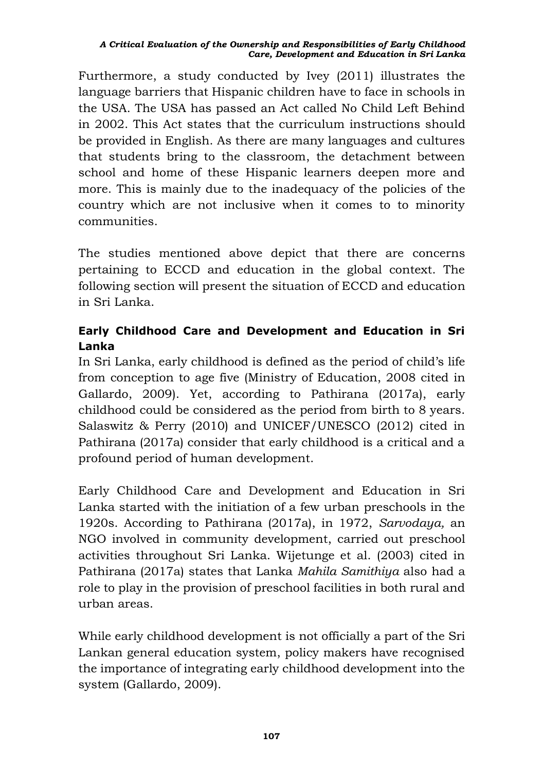Furthermore, a study conducted by Ivey (2011) illustrates the language barriers that Hispanic children have to face in schools in the USA. The USA has passed an Act called No Child Left Behind in 2002. This Act states that the curriculum instructions should be provided in English. As there are many languages and cultures that students bring to the classroom, the detachment between school and home of these Hispanic learners deepen more and more. This is mainly due to the inadequacy of the policies of the country which are not inclusive when it comes to to minority communities.

The studies mentioned above depict that there are concerns pertaining to ECCD and education in the global context. The following section will present the situation of ECCD and education in Sri Lanka.

## **Early Childhood Care and Development and Education in Sri Lanka**

In Sri Lanka, early childhood is defined as the period of child's life from conception to age five (Ministry of Education, 2008 cited in Gallardo, 2009). Yet, according to Pathirana (2017a), early childhood could be considered as the period from birth to 8 years. Salaswitz & Perry (2010) and UNICEF/UNESCO (2012) cited in Pathirana (2017a) consider that early childhood is a critical and a profound period of human development.

Early Childhood Care and Development and Education in Sri Lanka started with the initiation of a few urban preschools in the 1920s. According to Pathirana (2017a), in 1972, *Sarvodaya,* an NGO involved in community development, carried out preschool activities throughout Sri Lanka. Wijetunge et al. (2003) cited in Pathirana (2017a) states that Lanka *Mahila Samithiya* also had a role to play in the provision of preschool facilities in both rural and urban areas.

While early childhood development is not officially a part of the Sri Lankan general education system, policy makers have recognised the importance of integrating early childhood development into the system (Gallardo, 2009).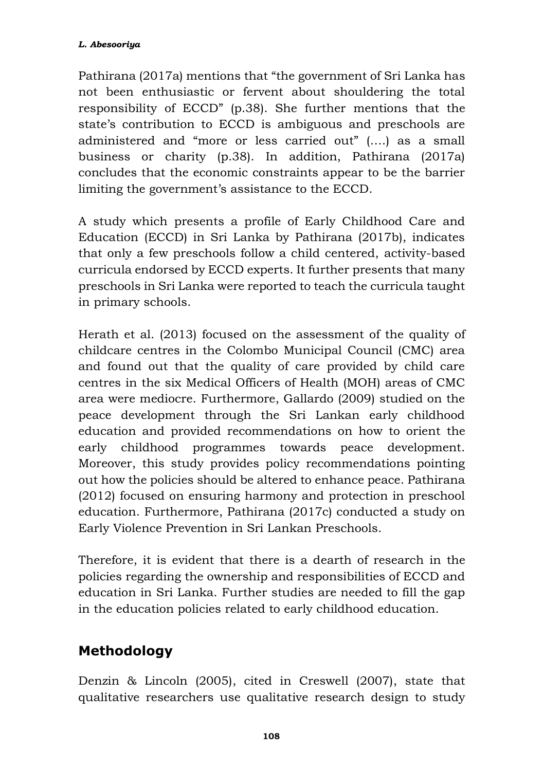Pathirana (2017a) mentions that "the government of Sri Lanka has not been enthusiastic or fervent about shouldering the total responsibility of ECCD" (p.38). She further mentions that the state's contribution to ECCD is ambiguous and preschools are administered and "more or less carried out" (….) as a small business or charity (p.38). In addition, Pathirana (2017a) concludes that the economic constraints appear to be the barrier limiting the government's assistance to the ECCD.

A study which presents a profile of Early Childhood Care and Education (ECCD) in Sri Lanka by Pathirana (2017b), indicates that only a few preschools follow a child centered, activity-based curricula endorsed by ECCD experts. It further presents that many preschools in Sri Lanka were reported to teach the curricula taught in primary schools.

Herath et al. (2013) focused on the assessment of the quality of childcare centres in the Colombo Municipal Council (CMC) area and found out that the quality of care provided by child care centres in the six Medical Officers of Health (MOH) areas of CMC area were mediocre. Furthermore, Gallardo (2009) studied on the peace development through the Sri Lankan early childhood education and provided recommendations on how to orient the early childhood programmes towards peace development. Moreover, this study provides policy recommendations pointing out how the policies should be altered to enhance peace. Pathirana (2012) focused on ensuring harmony and protection in preschool education. Furthermore, Pathirana (2017c) conducted a study on Early Violence Prevention in Sri Lankan Preschools.

Therefore, it is evident that there is a dearth of research in the policies regarding the ownership and responsibilities of ECCD and education in Sri Lanka. Further studies are needed to fill the gap in the education policies related to early childhood education.

## **Methodology**

Denzin & Lincoln (2005), cited in Creswell (2007), state that qualitative researchers use qualitative research design to study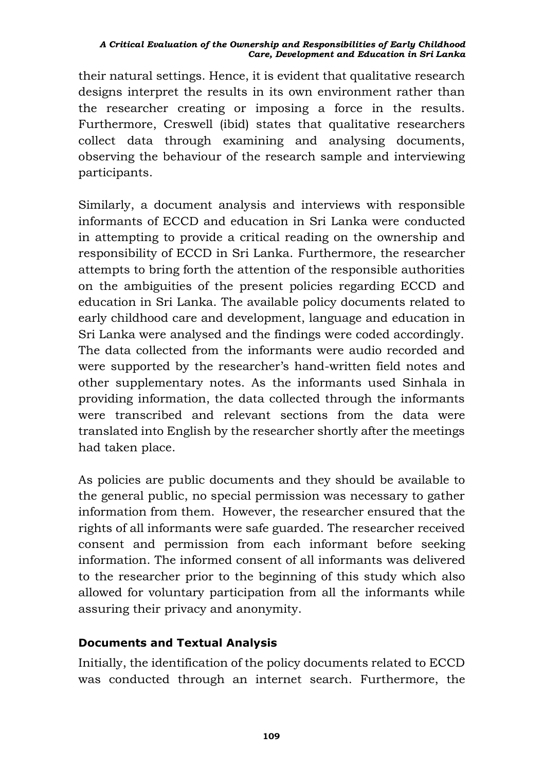their natural settings. Hence, it is evident that qualitative research designs interpret the results in its own environment rather than the researcher creating or imposing a force in the results. Furthermore, Creswell (ibid) states that qualitative researchers collect data through examining and analysing documents, observing the behaviour of the research sample and interviewing participants.

Similarly, a document analysis and interviews with responsible informants of ECCD and education in Sri Lanka were conducted in attempting to provide a critical reading on the ownership and responsibility of ECCD in Sri Lanka. Furthermore, the researcher attempts to bring forth the attention of the responsible authorities on the ambiguities of the present policies regarding ECCD and education in Sri Lanka. The available policy documents related to early childhood care and development, language and education in Sri Lanka were analysed and the findings were coded accordingly. The data collected from the informants were audio recorded and were supported by the researcher's hand-written field notes and other supplementary notes. As the informants used Sinhala in providing information, the data collected through the informants were transcribed and relevant sections from the data were translated into English by the researcher shortly after the meetings had taken place.

As policies are public documents and they should be available to the general public, no special permission was necessary to gather information from them. However, the researcher ensured that the rights of all informants were safe guarded. The researcher received consent and permission from each informant before seeking information. The informed consent of all informants was delivered to the researcher prior to the beginning of this study which also allowed for voluntary participation from all the informants while assuring their privacy and anonymity.

### **Documents and Textual Analysis**

Initially, the identification of the policy documents related to ECCD was conducted through an internet search. Furthermore, the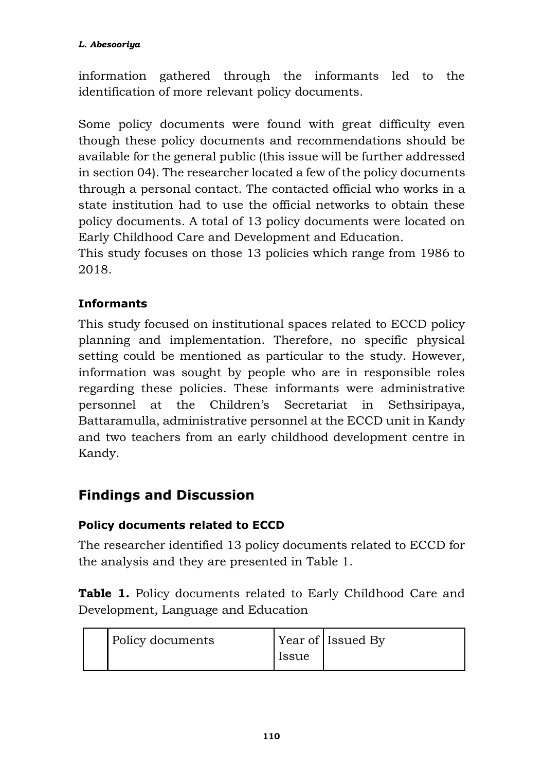information gathered through the informants led to the identification of more relevant policy documents.

Some policy documents were found with great difficulty even though these policy documents and recommendations should be available for the general public (this issue will be further addressed in section 04). The researcher located a few of the policy documents through a personal contact. The contacted official who works in a state institution had to use the official networks to obtain these policy documents. A total of 13 policy documents were located on Early Childhood Care and Development and Education.

This study focuses on those 13 policies which range from 1986 to 2018.

## **Informants**

This study focused on institutional spaces related to ECCD policy planning and implementation. Therefore, no specific physical setting could be mentioned as particular to the study. However, information was sought by people who are in responsible roles regarding these policies. These informants were administrative personnel at the Children's Secretariat in Sethsiripaya, Battaramulla, administrative personnel at the ECCD unit in Kandy and two teachers from an early childhood development centre in Kandy.

## **Findings and Discussion**

### **Policy documents related to ECCD**

The researcher identified 13 policy documents related to ECCD for the analysis and they are presented in Table 1.

**Table 1.** Policy documents related to Early Childhood Care and Development, Language and Education

| Policy documents |              | Year of Issued By |
|------------------|--------------|-------------------|
|                  | <b>Issue</b> |                   |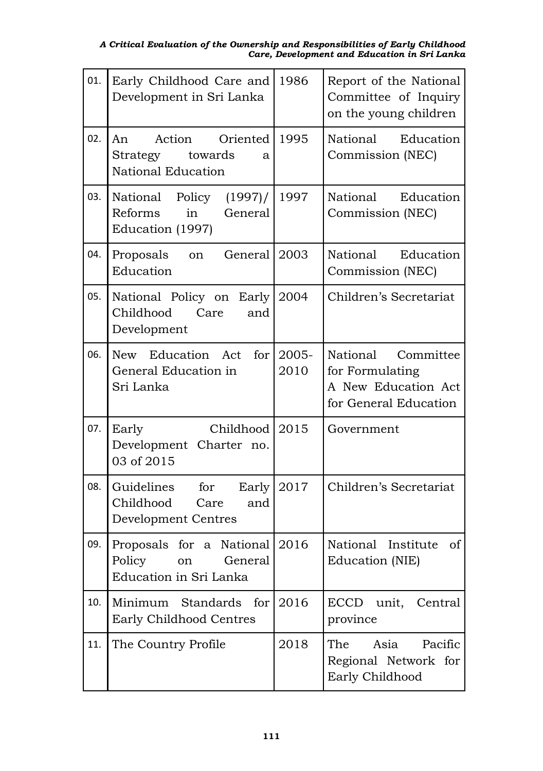| 01. | Early Childhood Care and<br>Development in Sri Lanka                                 | 1986          | Report of the National<br>Committee of Inquiry<br>on the young children               |
|-----|--------------------------------------------------------------------------------------|---------------|---------------------------------------------------------------------------------------|
| 02. | Action Oriented<br>An<br>towards<br>Strategy<br>a<br>National Education              | 1995          | National<br>Education<br>Commission (NEC)                                             |
| 03. | (1997) /<br>National Policy<br>General<br>Reforms<br>in<br>Education (1997)          | 1997          | National Education<br>Commission (NEC)                                                |
| 04. | Proposals<br>General<br>on<br>Education                                              | 2003          | National Education<br>Commission (NEC)                                                |
| 05. | National Policy on Early<br>Childhood<br>Care<br>and<br>Development                  | 2004          | Children's Secretariat                                                                |
| 06. | New Education Act<br>for<br>General Education in<br>Sri Lanka                        | 2005-<br>2010 | National Committee<br>for Formulating<br>A New Education Act<br>for General Education |
| 07. | Early<br>Childhood<br>Development Charter no.<br>03 of 2015                          | 2015          | Government                                                                            |
| 08. | Guidelines<br>for<br>Early<br>Childhood<br>Care<br>and<br><b>Development Centres</b> | 2017          | Children's Secretariat                                                                |
| 09. | Proposals for a National 2016<br>Policy<br>on<br>General<br>Education in Sri Lanka   |               | National Institute<br>οf<br>Education (NIE)                                           |
| 10. | Minimum Standards<br>for<br>Early Childhood Centres                                  | 2016          | ECCD unit, Central<br>province                                                        |
| 11. | The Country Profile                                                                  | 2018          | Asia<br>Pacific<br>The<br>Regional Network for<br>Early Childhood                     |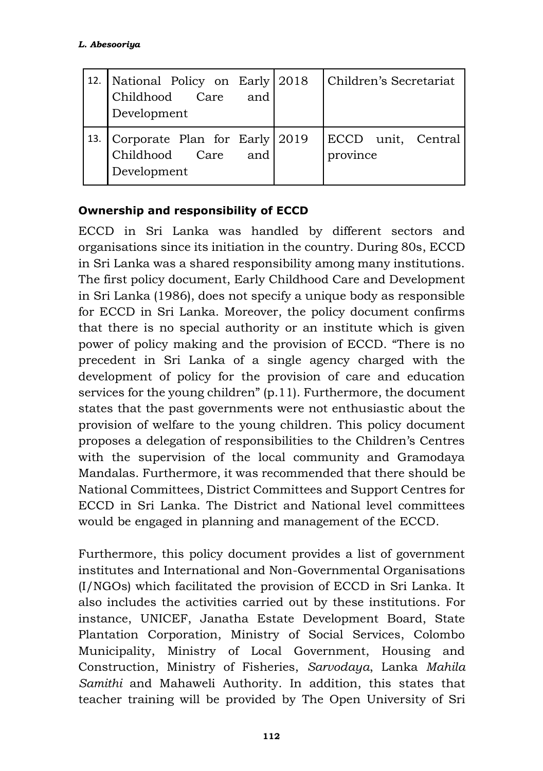| 12. National Policy on Early 2018<br>and<br>Childhood Care<br>Development | Children's Secretariat         |
|---------------------------------------------------------------------------|--------------------------------|
| 13. Corporate Plan for Early 2019<br>Childhood Care<br>and<br>Development | ECCD unit, Central<br>province |

### **Ownership and responsibility of ECCD**

ECCD in Sri Lanka was handled by different sectors and organisations since its initiation in the country. During 80s, ECCD in Sri Lanka was a shared responsibility among many institutions. The first policy document, Early Childhood Care and Development in Sri Lanka (1986), does not specify a unique body as responsible for ECCD in Sri Lanka. Moreover, the policy document confirms that there is no special authority or an institute which is given power of policy making and the provision of ECCD. "There is no precedent in Sri Lanka of a single agency charged with the development of policy for the provision of care and education services for the young children" (p.11). Furthermore, the document states that the past governments were not enthusiastic about the provision of welfare to the young children. This policy document proposes a delegation of responsibilities to the Children's Centres with the supervision of the local community and Gramodaya Mandalas. Furthermore, it was recommended that there should be National Committees, District Committees and Support Centres for ECCD in Sri Lanka. The District and National level committees would be engaged in planning and management of the ECCD.

Furthermore, this policy document provides a list of government institutes and International and Non-Governmental Organisations (I/NGOs) which facilitated the provision of ECCD in Sri Lanka. It also includes the activities carried out by these institutions. For instance, UNICEF, Janatha Estate Development Board, State Plantation Corporation, Ministry of Social Services, Colombo Municipality, Ministry of Local Government, Housing and Construction, Ministry of Fisheries, *Sarvodaya*, Lanka *Mahila Samithi* and Mahaweli Authority. In addition, this states that teacher training will be provided by The Open University of Sri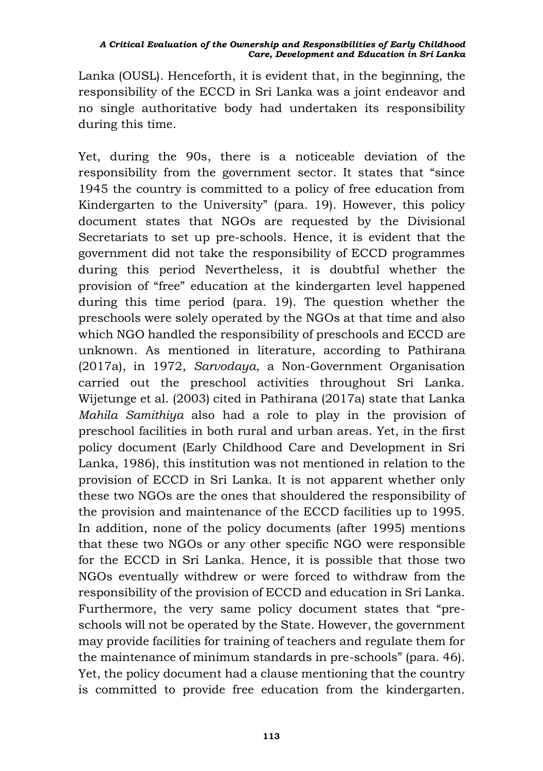Lanka (OUSL). Henceforth, it is evident that, in the beginning, the responsibility of the ECCD in Sri Lanka was a joint endeavor and no single authoritative body had undertaken its responsibility during this time.

Yet, during the 90s, there is a noticeable deviation of the responsibility from the government sector. It states that "since 1945 the country is committed to a policy of free education from Kindergarten to the University" (para. 19). However, this policy document states that NGOs are requested by the Divisional Secretariats to set up pre-schools. Hence, it is evident that the government did not take the responsibility of ECCD programmes during this period Nevertheless, it is doubtful whether the provision of "free" education at the kindergarten level happened during this time period (para. 19). The question whether the preschools were solely operated by the NGOs at that time and also which NGO handled the responsibility of preschools and ECCD are unknown. As mentioned in literature, according to Pathirana (2017a), in 1972, *Sarvodaya*, a Non-Government Organisation carried out the preschool activities throughout Sri Lanka. Wijetunge et al. (2003) cited in Pathirana (2017a) state that Lanka *Mahila Samithiya* also had a role to play in the provision of preschool facilities in both rural and urban areas. Yet, in the first policy document (Early Childhood Care and Development in Sri Lanka, 1986), this institution was not mentioned in relation to the provision of ECCD in Sri Lanka. It is not apparent whether only these two NGOs are the ones that shouldered the responsibility of the provision and maintenance of the ECCD facilities up to 1995. In addition, none of the policy documents (after 1995) mentions that these two NGOs or any other specific NGO were responsible for the ECCD in Sri Lanka. Hence, it is possible that those two NGOs eventually withdrew or were forced to withdraw from the responsibility of the provision of ECCD and education in Sri Lanka. Furthermore, the very same policy document states that "preschools will not be operated by the State. However, the government may provide facilities for training of teachers and regulate them for the maintenance of minimum standards in pre-schools" (para. 46). Yet, the policy document had a clause mentioning that the country is committed to provide free education from the kindergarten.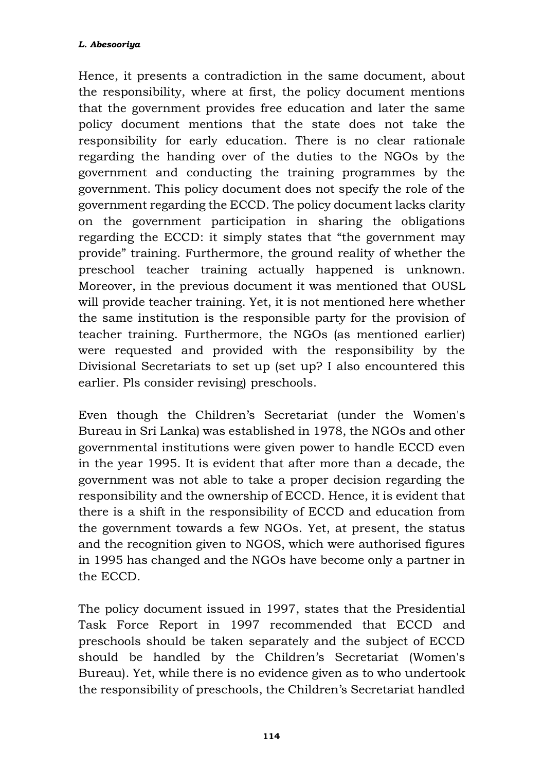Hence, it presents a contradiction in the same document, about the responsibility, where at first, the policy document mentions that the government provides free education and later the same policy document mentions that the state does not take the responsibility for early education. There is no clear rationale regarding the handing over of the duties to the NGOs by the government and conducting the training programmes by the government. This policy document does not specify the role of the government regarding the ECCD. The policy document lacks clarity on the government participation in sharing the obligations regarding the ECCD: it simply states that "the government may provide" training. Furthermore, the ground reality of whether the preschool teacher training actually happened is unknown. Moreover, in the previous document it was mentioned that OUSL will provide teacher training. Yet, it is not mentioned here whether the same institution is the responsible party for the provision of teacher training. Furthermore, the NGOs (as mentioned earlier) were requested and provided with the responsibility by the Divisional Secretariats to set up (set up? I also encountered this earlier. Pls consider revising) preschools.

Even though the Children's Secretariat (under the Women's Bureau in Sri Lanka) was established in 1978, the NGOs and other governmental institutions were given power to handle ECCD even in the year 1995. It is evident that after more than a decade, the government was not able to take a proper decision regarding the responsibility and the ownership of ECCD. Hence, it is evident that there is a shift in the responsibility of ECCD and education from the government towards a few NGOs. Yet, at present, the status and the recognition given to NGOS, which were authorised figures in 1995 has changed and the NGOs have become only a partner in the ECCD.

The policy document issued in 1997, states that the Presidential Task Force Report in 1997 recommended that ECCD and preschools should be taken separately and the subject of ECCD should be handled by the Children's Secretariat (Women's Bureau). Yet, while there is no evidence given as to who undertook the responsibility of preschools, the Children's Secretariat handled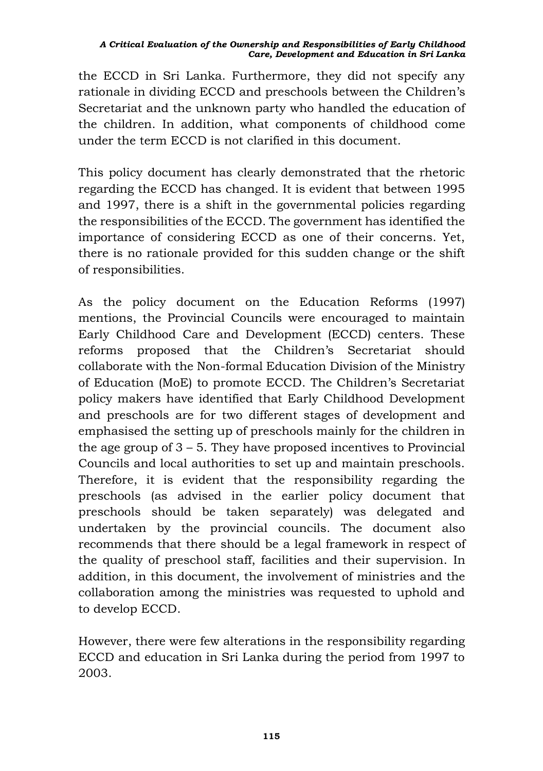the ECCD in Sri Lanka. Furthermore, they did not specify any rationale in dividing ECCD and preschools between the Children's Secretariat and the unknown party who handled the education of the children. In addition, what components of childhood come under the term ECCD is not clarified in this document.

This policy document has clearly demonstrated that the rhetoric regarding the ECCD has changed. It is evident that between 1995 and 1997, there is a shift in the governmental policies regarding the responsibilities of the ECCD. The government has identified the importance of considering ECCD as one of their concerns. Yet, there is no rationale provided for this sudden change or the shift of responsibilities.

As the policy document on the Education Reforms (1997) mentions, the Provincial Councils were encouraged to maintain Early Childhood Care and Development (ECCD) centers. These reforms proposed that the Children's Secretariat should collaborate with the Non-formal Education Division of the Ministry of Education (MoE) to promote ECCD. The Children's Secretariat policy makers have identified that Early Childhood Development and preschools are for two different stages of development and emphasised the setting up of preschools mainly for the children in the age group of  $3 - 5$ . They have proposed incentives to Provincial Councils and local authorities to set up and maintain preschools. Therefore, it is evident that the responsibility regarding the preschools (as advised in the earlier policy document that preschools should be taken separately) was delegated and undertaken by the provincial councils. The document also recommends that there should be a legal framework in respect of the quality of preschool staff, facilities and their supervision. In addition, in this document, the involvement of ministries and the collaboration among the ministries was requested to uphold and to develop ECCD.

However, there were few alterations in the responsibility regarding ECCD and education in Sri Lanka during the period from 1997 to 2003.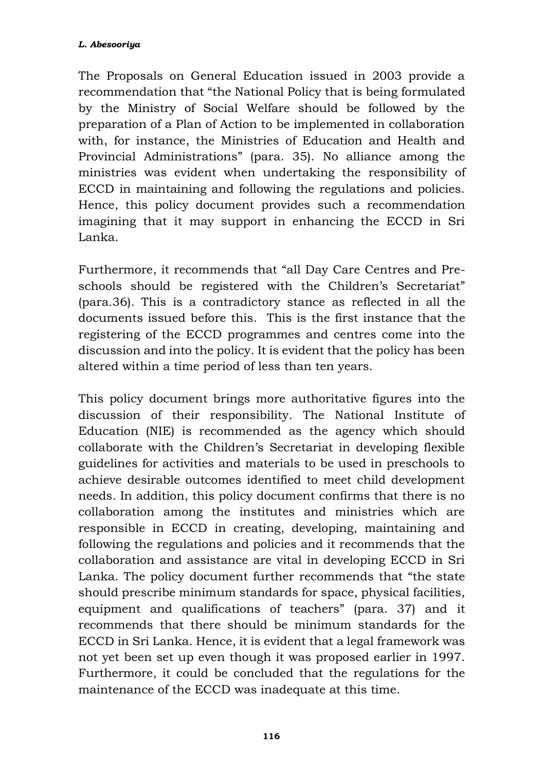The Proposals on General Education issued in 2003 provide a recommendation that "the National Policy that is being formulated by the Ministry of Social Welfare should be followed by the preparation of a Plan of Action to be implemented in collaboration with, for instance, the Ministries of Education and Health and Provincial Administrations" (para. 35). No alliance among the ministries was evident when undertaking the responsibility of ECCD in maintaining and following the regulations and policies. Hence, this policy document provides such a recommendation imagining that it may support in enhancing the ECCD in Sri Lanka.

Furthermore, it recommends that "all Day Care Centres and Preschools should be registered with the Children's Secretariat" (para.36). This is a contradictory stance as reflected in all the documents issued before this. This is the first instance that the registering of the ECCD programmes and centres come into the discussion and into the policy. It is evident that the policy has been altered within a time period of less than ten years.

This policy document brings more authoritative figures into the discussion of their responsibility. The National Institute of Education (NIE) is recommended as the agency which should collaborate with the Children's Secretariat in developing flexible guidelines for activities and materials to be used in preschools to achieve desirable outcomes identified to meet child development needs. In addition, this policy document confirms that there is no collaboration among the institutes and ministries which are responsible in ECCD in creating, developing, maintaining and following the regulations and policies and it recommends that the collaboration and assistance are vital in developing ECCD in Sri Lanka. The policy document further recommends that "the state should prescribe minimum standards for space, physical facilities, equipment and qualifications of teachers" (para. 37) and it recommends that there should be minimum standards for the ECCD in Sri Lanka. Hence, it is evident that a legal framework was not yet been set up even though it was proposed earlier in 1997. Furthermore, it could be concluded that the regulations for the maintenance of the ECCD was inadequate at this time.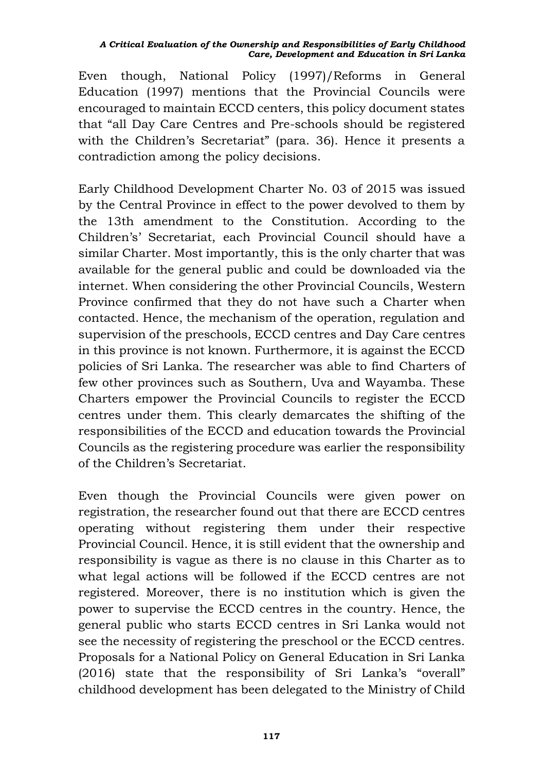Even though, National Policy (1997)/Reforms in General Education (1997) mentions that the Provincial Councils were encouraged to maintain ECCD centers, this policy document states that "all Day Care Centres and Pre-schools should be registered with the Children's Secretariat" (para. 36). Hence it presents a contradiction among the policy decisions.

Early Childhood Development Charter No. 03 of 2015 was issued by the Central Province in effect to the power devolved to them by the 13th amendment to the Constitution. According to the Children's' Secretariat, each Provincial Council should have a similar Charter. Most importantly, this is the only charter that was available for the general public and could be downloaded via the internet. When considering the other Provincial Councils, Western Province confirmed that they do not have such a Charter when contacted. Hence, the mechanism of the operation, regulation and supervision of the preschools, ECCD centres and Day Care centres in this province is not known. Furthermore, it is against the ECCD policies of Sri Lanka. The researcher was able to find Charters of few other provinces such as Southern, Uva and Wayamba. These Charters empower the Provincial Councils to register the ECCD centres under them. This clearly demarcates the shifting of the responsibilities of the ECCD and education towards the Provincial Councils as the registering procedure was earlier the responsibility of the Children's Secretariat.

Even though the Provincial Councils were given power on registration, the researcher found out that there are ECCD centres operating without registering them under their respective Provincial Council. Hence, it is still evident that the ownership and responsibility is vague as there is no clause in this Charter as to what legal actions will be followed if the ECCD centres are not registered. Moreover, there is no institution which is given the power to supervise the ECCD centres in the country. Hence, the general public who starts ECCD centres in Sri Lanka would not see the necessity of registering the preschool or the ECCD centres. Proposals for a National Policy on General Education in Sri Lanka (2016) state that the responsibility of Sri Lanka's "overall" childhood development has been delegated to the Ministry of Child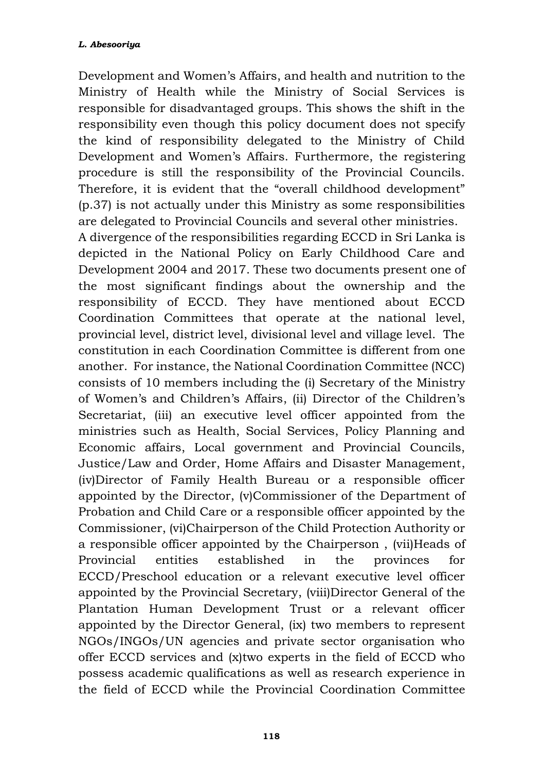Development and Women's Affairs, and health and nutrition to the Ministry of Health while the Ministry of Social Services is responsible for disadvantaged groups. This shows the shift in the responsibility even though this policy document does not specify the kind of responsibility delegated to the Ministry of Child Development and Women's Affairs. Furthermore, the registering procedure is still the responsibility of the Provincial Councils. Therefore, it is evident that the "overall childhood development" (p.37) is not actually under this Ministry as some responsibilities are delegated to Provincial Councils and several other ministries.

A divergence of the responsibilities regarding ECCD in Sri Lanka is depicted in the National Policy on Early Childhood Care and Development 2004 and 2017. These two documents present one of the most significant findings about the ownership and the responsibility of ECCD. They have mentioned about ECCD Coordination Committees that operate at the national level, provincial level, district level, divisional level and village level. The constitution in each Coordination Committee is different from one another. For instance, the National Coordination Committee (NCC) consists of 10 members including the (i) Secretary of the Ministry of Women's and Children's Affairs, (ii) Director of the Children's Secretariat, (iii) an executive level officer appointed from the ministries such as Health, Social Services, Policy Planning and Economic affairs, Local government and Provincial Councils, Justice/Law and Order, Home Affairs and Disaster Management, (iv)Director of Family Health Bureau or a responsible officer appointed by the Director, (v)Commissioner of the Department of Probation and Child Care or a responsible officer appointed by the Commissioner, (vi)Chairperson of the Child Protection Authority or a responsible officer appointed by the Chairperson , (vii)Heads of Provincial entities established in the provinces for ECCD/Preschool education or a relevant executive level officer appointed by the Provincial Secretary, (viii)Director General of the Plantation Human Development Trust or a relevant officer appointed by the Director General, (ix) two members to represent NGOs/INGOs/UN agencies and private sector organisation who offer ECCD services and (x)two experts in the field of ECCD who possess academic qualifications as well as research experience in the field of ECCD while the Provincial Coordination Committee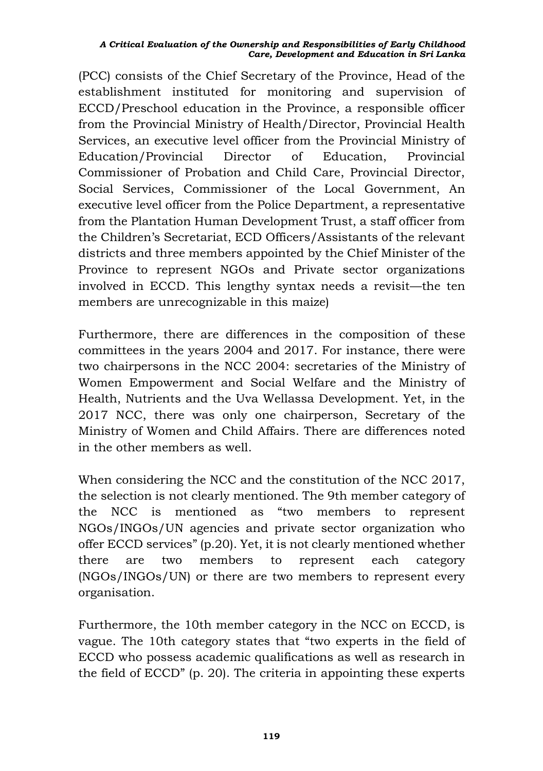(PCC) consists of the Chief Secretary of the Province, Head of the establishment instituted for monitoring and supervision of ECCD/Preschool education in the Province, a responsible officer from the Provincial Ministry of Health/Director, Provincial Health Services, an executive level officer from the Provincial Ministry of Education/Provincial Director of Education, Provincial Commissioner of Probation and Child Care, Provincial Director, Social Services, Commissioner of the Local Government, An executive level officer from the Police Department, a representative from the Plantation Human Development Trust, a staff officer from the Children's Secretariat, ECD Officers/Assistants of the relevant districts and three members appointed by the Chief Minister of the Province to represent NGOs and Private sector organizations involved in ECCD. This lengthy syntax needs a revisit—the ten members are unrecognizable in this maize)

Furthermore, there are differences in the composition of these committees in the years 2004 and 2017. For instance, there were two chairpersons in the NCC 2004: secretaries of the Ministry of Women Empowerment and Social Welfare and the Ministry of Health, Nutrients and the Uva Wellassa Development. Yet, in the 2017 NCC, there was only one chairperson, Secretary of the Ministry of Women and Child Affairs. There are differences noted in the other members as well.

When considering the NCC and the constitution of the NCC 2017, the selection is not clearly mentioned. The 9th member category of the NCC is mentioned as "two members to represent NGOs/INGOs/UN agencies and private sector organization who offer ECCD services" (p.20). Yet, it is not clearly mentioned whether there are two members to represent each category (NGOs/INGOs/UN) or there are two members to represent every organisation.

Furthermore, the 10th member category in the NCC on ECCD, is vague. The 10th category states that "two experts in the field of ECCD who possess academic qualifications as well as research in the field of ECCD" (p. 20). The criteria in appointing these experts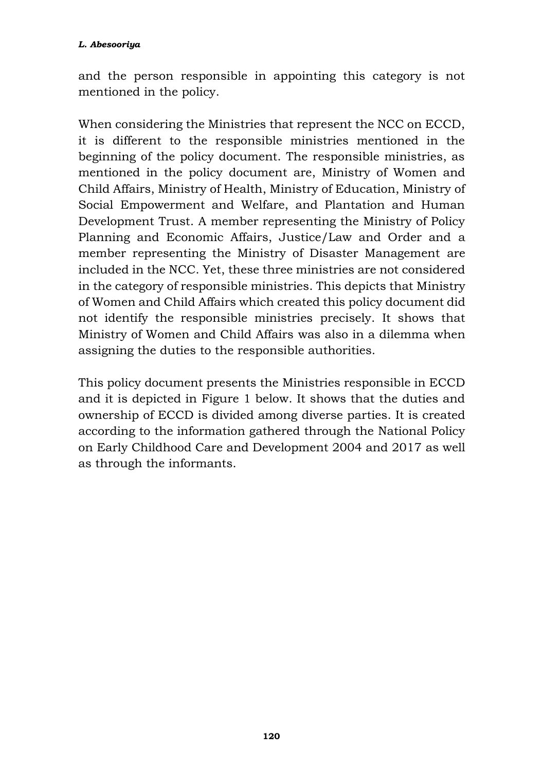and the person responsible in appointing this category is not mentioned in the policy.

When considering the Ministries that represent the NCC on ECCD, it is different to the responsible ministries mentioned in the beginning of the policy document. The responsible ministries, as mentioned in the policy document are, Ministry of Women and Child Affairs, Ministry of Health, Ministry of Education, Ministry of Social Empowerment and Welfare, and Plantation and Human Development Trust. A member representing the Ministry of Policy Planning and Economic Affairs, Justice/Law and Order and a member representing the Ministry of Disaster Management are included in the NCC. Yet, these three ministries are not considered in the category of responsible ministries. This depicts that Ministry of Women and Child Affairs which created this policy document did not identify the responsible ministries precisely. It shows that Ministry of Women and Child Affairs was also in a dilemma when assigning the duties to the responsible authorities.

This policy document presents the Ministries responsible in ECCD and it is depicted in Figure 1 below. It shows that the duties and ownership of ECCD is divided among diverse parties. It is created according to the information gathered through the National Policy on Early Childhood Care and Development 2004 and 2017 as well as through the informants.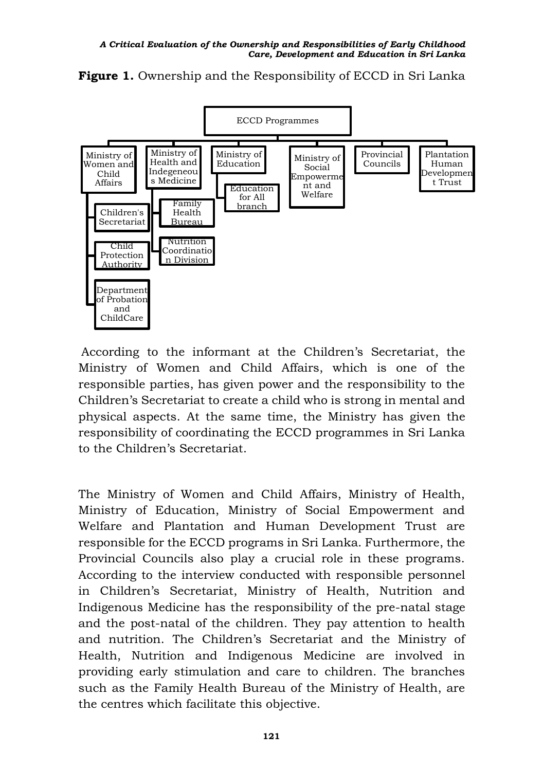

**Figure 1.** Ownership and the Responsibility of ECCD in Sri Lanka

According to the informant at the Children's Secretariat, the Ministry of Women and Child Affairs, which is one of the responsible parties, has given power and the responsibility to the Children's Secretariat to create a child who is strong in mental and physical aspects. At the same time, the Ministry has given the responsibility of coordinating the ECCD programmes in Sri Lanka to the Children's Secretariat.

The Ministry of Women and Child Affairs, Ministry of Health, Ministry of Education, Ministry of Social Empowerment and Welfare and Plantation and Human Development Trust are responsible for the ECCD programs in Sri Lanka. Furthermore, the Provincial Councils also play a crucial role in these programs. According to the interview conducted with responsible personnel in Children's Secretariat, Ministry of Health, Nutrition and Indigenous Medicine has the responsibility of the pre-natal stage and the post-natal of the children. They pay attention to health and nutrition. The Children's Secretariat and the Ministry of Health, Nutrition and Indigenous Medicine are involved in providing early stimulation and care to children. The branches such as the Family Health Bureau of the Ministry of Health, are the centres which facilitate this objective.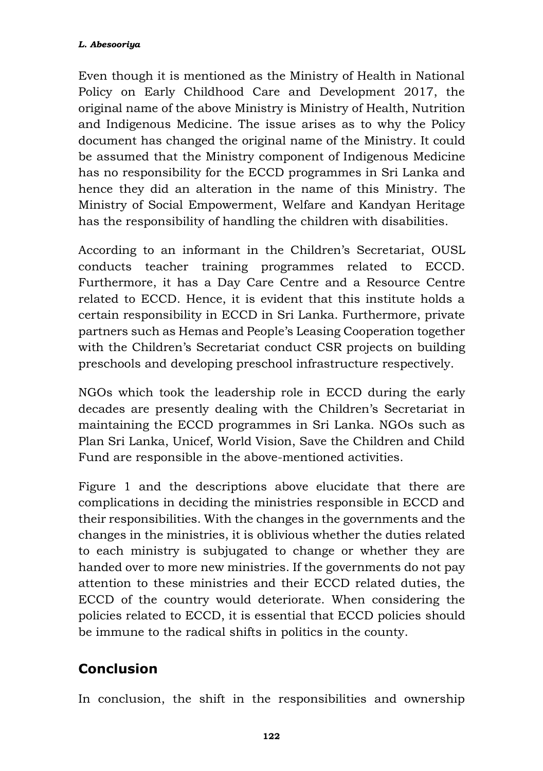Even though it is mentioned as the Ministry of Health in National Policy on Early Childhood Care and Development 2017, the original name of the above Ministry is Ministry of Health, Nutrition and Indigenous Medicine. The issue arises as to why the Policy document has changed the original name of the Ministry. It could be assumed that the Ministry component of Indigenous Medicine has no responsibility for the ECCD programmes in Sri Lanka and hence they did an alteration in the name of this Ministry. The Ministry of Social Empowerment, Welfare and Kandyan Heritage has the responsibility of handling the children with disabilities.

According to an informant in the Children's Secretariat, OUSL conducts teacher training programmes related to ECCD. Furthermore, it has a Day Care Centre and a Resource Centre related to ECCD. Hence, it is evident that this institute holds a certain responsibility in ECCD in Sri Lanka. Furthermore, private partners such as Hemas and People's Leasing Cooperation together with the Children's Secretariat conduct CSR projects on building preschools and developing preschool infrastructure respectively.

NGOs which took the leadership role in ECCD during the early decades are presently dealing with the Children's Secretariat in maintaining the ECCD programmes in Sri Lanka. NGOs such as Plan Sri Lanka, Unicef, World Vision, Save the Children and Child Fund are responsible in the above-mentioned activities.

Figure 1 and the descriptions above elucidate that there are complications in deciding the ministries responsible in ECCD and their responsibilities. With the changes in the governments and the changes in the ministries, it is oblivious whether the duties related to each ministry is subjugated to change or whether they are handed over to more new ministries. If the governments do not pay attention to these ministries and their ECCD related duties, the ECCD of the country would deteriorate. When considering the policies related to ECCD, it is essential that ECCD policies should be immune to the radical shifts in politics in the county.

# **Conclusion**

In conclusion, the shift in the responsibilities and ownership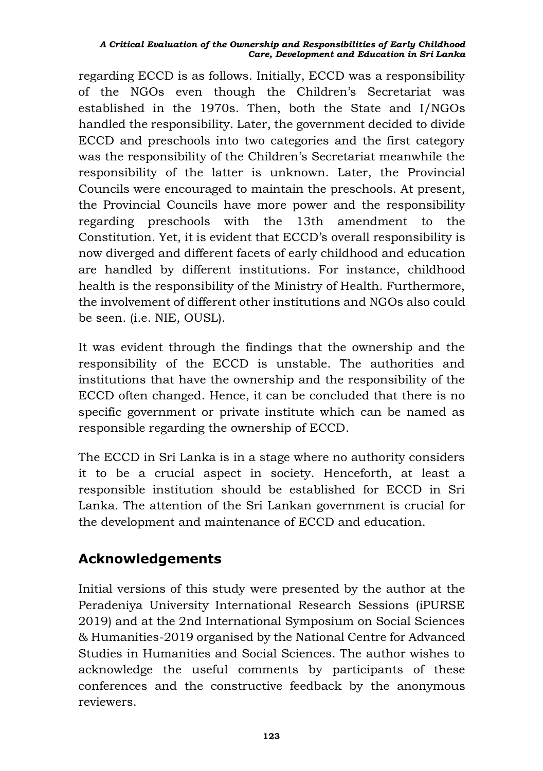regarding ECCD is as follows. Initially, ECCD was a responsibility of the NGOs even though the Children's Secretariat was established in the 1970s. Then, both the State and I/NGOs handled the responsibility. Later, the government decided to divide ECCD and preschools into two categories and the first category was the responsibility of the Children's Secretariat meanwhile the responsibility of the latter is unknown. Later, the Provincial Councils were encouraged to maintain the preschools. At present, the Provincial Councils have more power and the responsibility regarding preschools with the 13th amendment to the Constitution. Yet, it is evident that ECCD's overall responsibility is now diverged and different facets of early childhood and education are handled by different institutions. For instance, childhood health is the responsibility of the Ministry of Health. Furthermore, the involvement of different other institutions and NGOs also could be seen. (i.e. NIE, OUSL).

It was evident through the findings that the ownership and the responsibility of the ECCD is unstable. The authorities and institutions that have the ownership and the responsibility of the ECCD often changed. Hence, it can be concluded that there is no specific government or private institute which can be named as responsible regarding the ownership of ECCD.

The ECCD in Sri Lanka is in a stage where no authority considers it to be a crucial aspect in society. Henceforth, at least a responsible institution should be established for ECCD in Sri Lanka. The attention of the Sri Lankan government is crucial for the development and maintenance of ECCD and education.

## **Acknowledgements**

Initial versions of this study were presented by the author at the Peradeniya University International Research Sessions (iPURSE 2019) and at the 2nd International Symposium on Social Sciences & Humanities-2019 organised by the National Centre for Advanced Studies in Humanities and Social Sciences. The author wishes to acknowledge the useful comments by participants of these conferences and the constructive feedback by the anonymous reviewers.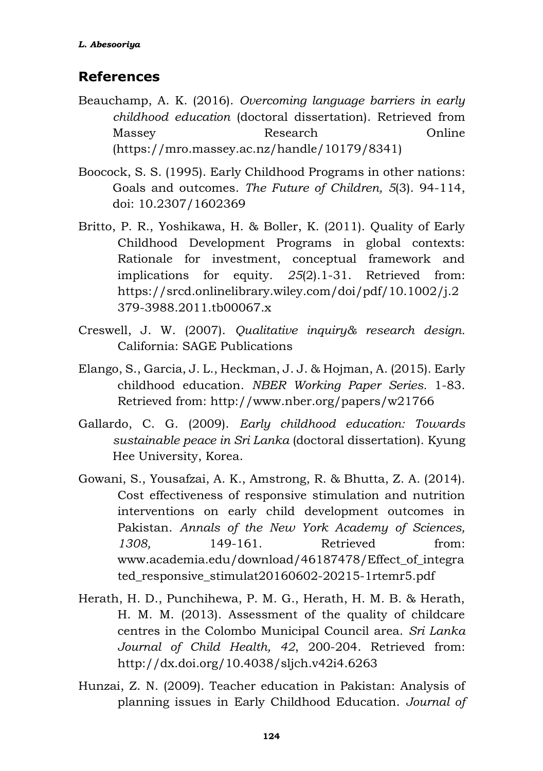## **References**

- Beauchamp, A. K. (2016). *Overcoming language barriers in early childhood education* (doctoral dissertation). Retrieved from Massey Research Online [\(https://mro.massey.ac.nz/handle/10179/8341\)](https://mro.massey.ac.nz/handle/10179/8341)
- Boocock, S. S. (1995). Early Childhood Programs in other nations: Goals and outcomes. *The Future of Children, 5*(3). 94-114, doi: 10.2307/1602369
- Britto, P. R., Yoshikawa, H. & Boller, K. (2011). Quality of Early Childhood Development Programs in global contexts: Rationale for investment, conceptual framework and implications for equity. *25*(2).1-31. Retrieved from: https://srcd.onlinelibrary.wiley.com/doi/pdf/10.1002/j.2 379-3988.2011.tb00067.x
- Creswell, J. W. (2007). *Qualitative inquiry& research design.* California: SAGE Publications
- Elango, S., Garcia, J. L., Heckman, J. J. & Hojman, A. (2015). Early childhood education. *NBER Working Paper Series.* 1-83. Retrieved from: http://www.nber.org/papers/w21766
- Gallardo, C. G. (2009). *Early childhood education: Towards sustainable peace in Sri Lanka* (doctoral dissertation). Kyung Hee University, Korea.
- Gowani, S., Yousafzai, A. K., Amstrong, R. & Bhutta, Z. A. (2014). Cost effectiveness of responsive stimulation and nutrition interventions on early child development outcomes in Pakistan. *Annals of the New York Academy of Sciences,*  1308, 149-161. Retrieved from: www.academia.edu/download/46187478/Effect\_of\_integra ted\_responsive\_stimulat20160602-20215-1rtemr5.pdf
- Herath, H. D., Punchihewa, P. M. G., Herath, H. M. B. & Herath, H. M. M. (2013). Assessment of the quality of childcare centres in the Colombo Municipal Council area. *Sri Lanka Journal of Child Health, 42*, 200-204. Retrieved from: <http://dx.doi.org/10.4038/sljch.v42i4.6263>
- Hunzai, Z. N. (2009). Teacher education in Pakistan: Analysis of planning issues in Early Childhood Education. *Journal of*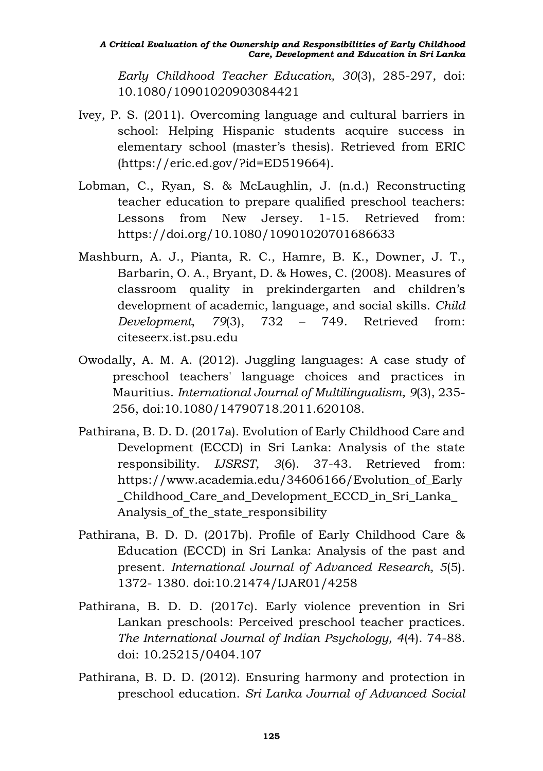*Early Childhood Teacher Education, 30*(3), 285-297, doi: 10.1080/10901020903084421

- Ivey, P. S. (2011). Overcoming language and cultural barriers in school: Helping Hispanic students acquire success in elementary school (master's thesis). Retrieved from ERIC [\(https://eric.ed.gov/?id=ED519664\)](https://eric.ed.gov/?id=ED519664).
- Lobman, C., Ryan, S. & McLaughlin, J. (n.d.) Reconstructing teacher education to prepare qualified preschool teachers: Lessons from New Jersey. 1-15. Retrieved from: <https://doi.org/10.1080/10901020701686633>
- Mashburn, A. J., Pianta, R. C., Hamre, B. K., Downer, J. T., Barbarin, O. A., Bryant, D. & Howes, C. (2008). Measures of classroom quality in prekindergarten and children's development of academic, language, and social skills. *Child Development*, *79*(3), 732 – 749. Retrieved from: citeseerx.ist.psu.edu
- Owodally, A. M. A. (2012). Juggling languages: A case study of preschool teachers' language choices and practices in Mauritius. *International Journal of Multilingualism, 9*(3), 235- 256, doi:10.1080/14790718.2011.620108.
- Pathirana, B. D. D. (2017a). Evolution of Early Childhood Care and Development (ECCD) in Sri Lanka: Analysis of the state responsibility. *IJSRST*, *3*(6). 37-43. Retrieved from: [https://www.academia.edu/34606166/Evolution\\_of\\_Early](https://www.academia.edu/34606166/Evolution_of_Early_Childhood_Care_and_Development_ECCD_in_Sri_Lanka_Analysis_of_the_state_responsibility) [\\_Childhood\\_Care\\_and\\_Development\\_ECCD\\_in\\_Sri\\_Lanka\\_](https://www.academia.edu/34606166/Evolution_of_Early_Childhood_Care_and_Development_ECCD_in_Sri_Lanka_Analysis_of_the_state_responsibility) [Analysis\\_of\\_the\\_state\\_responsibility](https://www.academia.edu/34606166/Evolution_of_Early_Childhood_Care_and_Development_ECCD_in_Sri_Lanka_Analysis_of_the_state_responsibility)
- Pathirana, B. D. D. (2017b). Profile of Early Childhood Care & Education (ECCD) in Sri Lanka: Analysis of the past and present. *International Journal of Advanced Research, 5*(5). 1372- 1380. doi:10.21474/IJAR01/4258
- Pathirana, B. D. D. (2017c). Early violence prevention in Sri Lankan preschools: Perceived preschool teacher practices. *The International Journal of Indian Psychology, 4*(4). 74-88. doi: 10.25215/0404.107
- Pathirana, B. D. D. (2012). Ensuring harmony and protection in preschool education. *Sri Lanka Journal of Advanced Social*